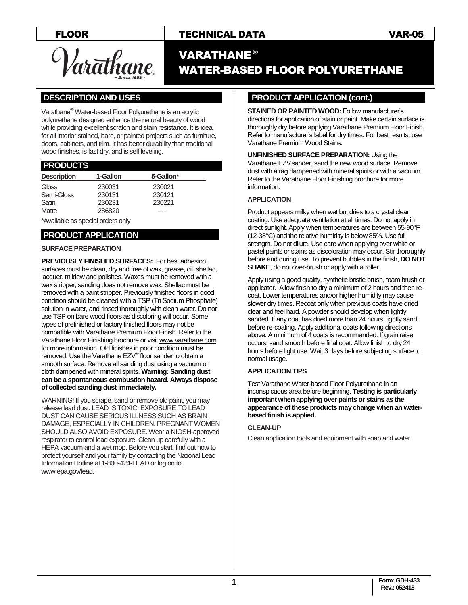### FLOOR TECHNICAL DATA VAR-05

)<br>ar<del>atha</del>ne

# VARATHANE ® WATER-BASED FLOOR POLYURETHANE

# **.DESCRIPTION AND USES .**

Varathane® Water-based Floor Polyurethane is an acrylic polyurethane designed enhance the natural beauty of wood while providing excellent scratch and stain resistance. It is ideal for all interior stained, bare, or painted projects such as furniture, doors, cabinets, and trim. It has better durability than traditional wood finishes, is fast dry, and is self leveling.

#### **.PRODUCTS .**

| <b>Description</b> | 1-Gallon | 5-Gallon* |  |
|--------------------|----------|-----------|--|
| Gloss              | 230031   | 230021    |  |
| Semi-Gloss         | 230131   | 230121    |  |
| Satin              | 230231   | 230221    |  |
| Matte              | 286820   | ----      |  |

\*Available as special orders only

## **.PRODUCT APPLICATION .**

#### **SURFACE PREPARATION**

**PREVIOUSLY FINISHED SURFACES:** For best adhesion, surfaces must be clean, dry and free of wax, grease, oil, shellac, lacquer, mildew and polishes. Waxes must be removed with a wax stripper; sanding does not remove wax. Shellac must be removed with a paint stripper. Previously finished floors in good condition should be cleaned with a TSP (Tri Sodium Phosphate) solution in water, and rinsed thoroughly with clean water. Do not use TSP on bare wood floors as discoloring will occur. Some types of prefinished or factory finished floors may not be compatible with Varathane Premium Floor Finish. Refer to the Varathane Floor Finishing brochure or visi[t www.varathane.com](http://www.varathane.com/) for more information. Old finishes in poor condition must be removed. Use the Varathane EZV® floor sander to obtain a smooth surface. Remove all sanding dust using a vacuum or cloth dampened with mineral spirits. **Warning: Sanding dust can be a spontaneous combustion hazard. Always dispose of collected sanding dust immediately.**

WARNING! If you scrape, sand or remove old paint, you may release lead dust. LEAD IS TOXIC. EXPOSURE TO LEAD DUST CAN CAUSE SERIOUS ILLNESS SUCH AS BRAIN DAMAGE, ESPECIALLY IN CHILDREN. PREGNANT WOMEN SHOULD ALSO AVOID EXPOSURE. Wear a NIOSH-approved respirator to control lead exposure. Clean up carefully with a HEPA vacuum and a wet mop. Before you start, find out how to protect yourself and your family by contacting the National Lead Information Hotline at 1-800-424-LEAD or log on to www.epa.gov/lead.

## **PRODUCT APPLICATION (cont.)**

**STAINED OR PAINTED WOOD: Follow manufacturer's** directions for application of stain or paint. Make certain surface is thoroughly dry before applying Varathane Premium Floor Finish. Refer to manufacturer's label for dry times. For best results, use Varathane Premium Wood Stains.

**UNFINISHED SURFACE PREPARATION:** Using the Varathane EZV sander, sand the new wood surface. Remove dust with a rag dampened with mineral spirits or with a vacuum. Refer to the Varathane Floor Finishing brochure for more information.

#### **APPLICATION**

Product appears milky when wet but dries to a crystal clear coating. Use adequate ventilation at all times. Do not apply in direct sunlight. Apply when temperatures are between 55-90°F (12-38°C) and the relative humidity is below 85%. Use full strength. Do not dilute. Use care when applying over white or pastel paints or stains as discoloration may occur. Stir thoroughly before and during use. To prevent bubbles in the finish, **DO NOT SHAKE**, do not over-brush or apply with a roller.

Apply using a good quality, synthetic bristle brush, foam brush or applicator. Allow finish to dry a minimum of 2 hours and then recoat. Lower temperatures and/or higher humidity may cause slower dry times. Recoat only when previous coats have dried clear and feel hard. A powder should develop when lightly sanded. If any coat has dried more than 24 hours, lightly sand before re-coating. Apply additional coats following directions above. A minimum of 4 coats is recommended. If grain raise occurs, sand smooth before final coat. Allow finish to dry 24 hours before light use. Wait 3 days before subjecting surface to normal usage.

#### **APPLICATION TIPS**

Test Varathane Water-based Floor Polyurethane in an inconspicuous area before beginning. **Testing is particularly important when applying over paints or stains as the appearance of these products may change when an waterbased finish is applied.**

#### **CLEAN-UP**

Clean application tools and equipment with soap and water.